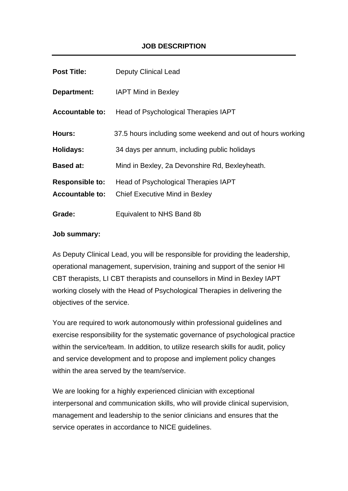# **JOB DESCRIPTION**

| <b>Post Title:</b>     | <b>Deputy Clinical Lead</b>                                |
|------------------------|------------------------------------------------------------|
| Department:            | <b>IAPT Mind in Bexley</b>                                 |
| <b>Accountable to:</b> | Head of Psychological Therapies IAPT                       |
| Hours:                 | 37.5 hours including some weekend and out of hours working |
| <b>Holidays:</b>       | 34 days per annum, including public holidays               |
| <b>Based at:</b>       | Mind in Bexley, 2a Devonshire Rd, Bexleyheath.             |
| <b>Responsible to:</b> | Head of Psychological Therapies IAPT                       |
| <b>Accountable to:</b> | <b>Chief Executive Mind in Bexley</b>                      |
| Grade:                 | Equivalent to NHS Band 8b                                  |

#### **Job summary:**

As Deputy Clinical Lead, you will be responsible for providing the leadership, operational management, supervision, training and support of the senior HI CBT therapists, LI CBT therapists and counsellors in Mind in Bexley IAPT working closely with the Head of Psychological Therapies in delivering the objectives of the service.

You are required to work autonomously within professional guidelines and exercise responsibility for the systematic governance of psychological practice within the service/team. In addition, to utilize research skills for audit, policy and service development and to propose and implement policy changes within the area served by the team/service.

We are looking for a highly experienced clinician with exceptional interpersonal and communication skills, who will provide clinical supervision, management and leadership to the senior clinicians and ensures that the service operates in accordance to NICE guidelines.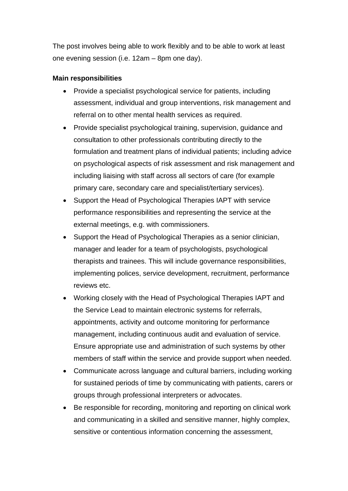The post involves being able to work flexibly and to be able to work at least one evening session (i.e. 12am – 8pm one day).

#### **Main responsibilities**

- Provide a specialist psychological service for patients, including assessment, individual and group interventions, risk management and referral on to other mental health services as required.
- Provide specialist psychological training, supervision, guidance and consultation to other professionals contributing directly to the formulation and treatment plans of individual patients; including advice on psychological aspects of risk assessment and risk management and including liaising with staff across all sectors of care (for example primary care, secondary care and specialist/tertiary services).
- Support the Head of Psychological Therapies IAPT with service performance responsibilities and representing the service at the external meetings, e.g. with commissioners.
- Support the Head of Psychological Therapies as a senior clinician, manager and leader for a team of psychologists, psychological therapists and trainees. This will include governance responsibilities, implementing polices, service development, recruitment, performance reviews etc.
- Working closely with the Head of Psychological Therapies IAPT and the Service Lead to maintain electronic systems for referrals, appointments, activity and outcome monitoring for performance management, including continuous audit and evaluation of service. Ensure appropriate use and administration of such systems by other members of staff within the service and provide support when needed.
- Communicate across language and cultural barriers, including working for sustained periods of time by communicating with patients, carers or groups through professional interpreters or advocates.
- Be responsible for recording, monitoring and reporting on clinical work and communicating in a skilled and sensitive manner, highly complex, sensitive or contentious information concerning the assessment,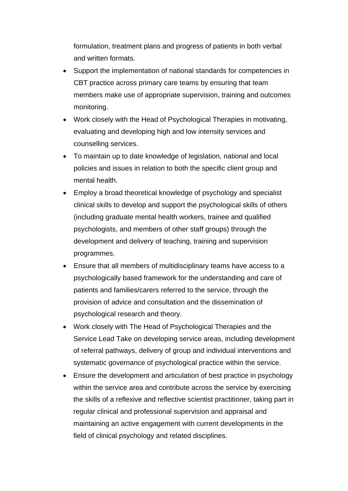formulation, treatment plans and progress of patients in both verbal and written formats.

- Support the implementation of national standards for competencies in CBT practice across primary care teams by ensuring that team members make use of appropriate supervision, training and outcomes monitoring.
- Work closely with the Head of Psychological Therapies in motivating, evaluating and developing high and low intensity services and counselling services.
- To maintain up to date knowledge of legislation, national and local policies and issues in relation to both the specific client group and mental health.
- Employ a broad theoretical knowledge of psychology and specialist clinical skills to develop and support the psychological skills of others (including graduate mental health workers, trainee and qualified psychologists, and members of other staff groups) through the development and delivery of teaching, training and supervision programmes.
- Ensure that all members of multidisciplinary teams have access to a psychologically based framework for the understanding and care of patients and families/carers referred to the service, through the provision of advice and consultation and the dissemination of psychological research and theory.
- Work closely with The Head of Psychological Therapies and the Service Lead Take on developing service areas, including development of referral pathways, delivery of group and individual interventions and systematic governance of psychological practice within the service.
- Ensure the development and articulation of best practice in psychology within the service area and contribute across the service by exercising the skills of a reflexive and reflective scientist practitioner, taking part in regular clinical and professional supervision and appraisal and maintaining an active engagement with current developments in the field of clinical psychology and related disciplines.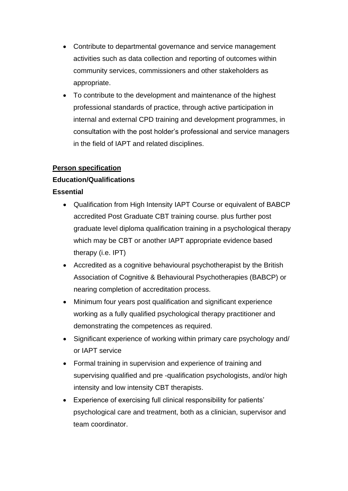- Contribute to departmental governance and service management activities such as data collection and reporting of outcomes within community services, commissioners and other stakeholders as appropriate.
- To contribute to the development and maintenance of the highest professional standards of practice, through active participation in internal and external CPD training and development programmes, in consultation with the post holder's professional and service managers in the field of IAPT and related disciplines.

# **Person specification**

### **Education/Qualifications**

### **Essential**

- Qualification from High Intensity IAPT Course or equivalent of BABCP accredited Post Graduate CBT training course. plus further post graduate level diploma qualification training in a psychological therapy which may be CBT or another IAPT appropriate evidence based therapy (i.e. IPT)
- Accredited as a cognitive behavioural psychotherapist by the British Association of Cognitive & Behavioural Psychotherapies (BABCP) or nearing completion of accreditation process.
- Minimum four years post qualification and significant experience working as a fully qualified psychological therapy practitioner and demonstrating the competences as required.
- Significant experience of working within primary care psychology and/ or IAPT service
- Formal training in supervision and experience of training and supervising qualified and pre -qualification psychologists, and/or high intensity and low intensity CBT therapists.
- Experience of exercising full clinical responsibility for patients' psychological care and treatment, both as a clinician, supervisor and team coordinator.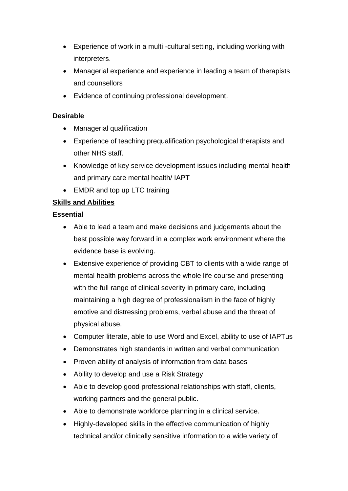- Experience of work in a multi -cultural setting, including working with interpreters.
- Managerial experience and experience in leading a team of therapists and counsellors
- Evidence of continuing professional development.

## **Desirable**

- Managerial qualification
- Experience of teaching prequalification psychological therapists and other NHS staff.
- Knowledge of key service development issues including mental health and primary care mental health/ IAPT
- EMDR and top up LTC training

# **Skills and Abilities**

### **Essential**

- Able to lead a team and make decisions and judgements about the best possible way forward in a complex work environment where the evidence base is evolving.
- Extensive experience of providing CBT to clients with a wide range of mental health problems across the whole life course and presenting with the full range of clinical severity in primary care, including maintaining a high degree of professionalism in the face of highly emotive and distressing problems, verbal abuse and the threat of physical abuse.
- Computer literate, able to use Word and Excel, ability to use of IAPTus
- Demonstrates high standards in written and verbal communication
- Proven ability of analysis of information from data bases
- Ability to develop and use a Risk Strategy
- Able to develop good professional relationships with staff, clients, working partners and the general public.
- Able to demonstrate workforce planning in a clinical service.
- Highly-developed skills in the effective communication of highly technical and/or clinically sensitive information to a wide variety of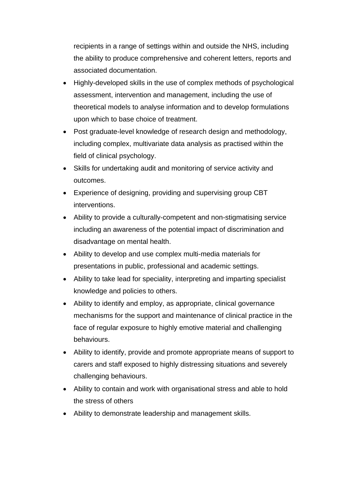recipients in a range of settings within and outside the NHS, including the ability to produce comprehensive and coherent letters, reports and associated documentation.

- Highly-developed skills in the use of complex methods of psychological assessment, intervention and management, including the use of theoretical models to analyse information and to develop formulations upon which to base choice of treatment.
- Post graduate-level knowledge of research design and methodology, including complex, multivariate data analysis as practised within the field of clinical psychology.
- Skills for undertaking audit and monitoring of service activity and outcomes.
- Experience of designing, providing and supervising group CBT interventions.
- Ability to provide a culturally-competent and non-stigmatising service including an awareness of the potential impact of discrimination and disadvantage on mental health.
- Ability to develop and use complex multi-media materials for presentations in public, professional and academic settings.
- Ability to take lead for speciality, interpreting and imparting specialist knowledge and policies to others.
- Ability to identify and employ, as appropriate, clinical governance mechanisms for the support and maintenance of clinical practice in the face of regular exposure to highly emotive material and challenging behaviours.
- Ability to identify, provide and promote appropriate means of support to carers and staff exposed to highly distressing situations and severely challenging behaviours.
- Ability to contain and work with organisational stress and able to hold the stress of others
- Ability to demonstrate leadership and management skills.